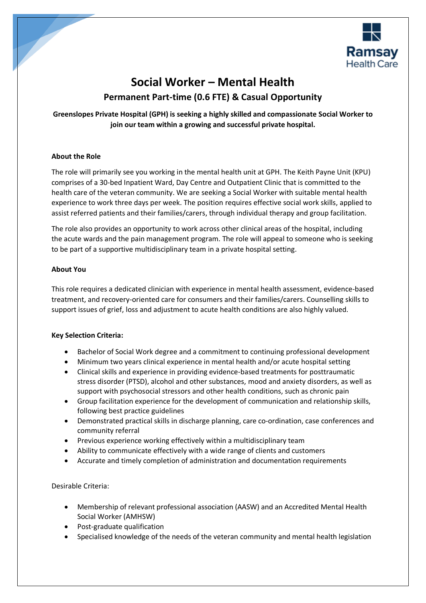

# **Social Worker – Mental Health Permanent Part-time (0.6 FTE) & Casual Opportunity**

## **Greenslopes Private Hospital (GPH) is seeking a highly skilled and compassionate Social Worker to join our team within a growing and successful private hospital.**

## **About the Role**

The role will primarily see you working in the mental health unit at GPH. The Keith Payne Unit (KPU) comprises of a 30-bed Inpatient Ward, Day Centre and Outpatient Clinic that is committed to the health care of the veteran community. We are seeking a Social Worker with suitable mental health experience to work three days per week. The position requires effective social work skills, applied to assist referred patients and their families/carers, through individual therapy and group facilitation.

The role also provides an opportunity to work across other clinical areas of the hospital, including the acute wards and the pain management program. The role will appeal to someone who is seeking to be part of a supportive multidisciplinary team in a private hospital setting.

## **About You**

This role requires a dedicated clinician with experience in mental health assessment, evidence-based treatment, and recovery-oriented care for consumers and their families/carers. Counselling skills to support issues of grief, loss and adjustment to acute health conditions are also highly valued.

## **Key Selection Criteria:**

- Bachelor of Social Work degree and a commitment to continuing professional development
- Minimum two years clinical experience in mental health and/or acute hospital setting
- Clinical skills and experience in providing evidence-based treatments for posttraumatic stress disorder (PTSD), alcohol and other substances, mood and anxiety disorders, as well as support with psychosocial stressors and other health conditions, such as chronic pain
- Group facilitation experience for the development of communication and relationship skills, following best practice guidelines
- Demonstrated practical skills in discharge planning, care co-ordination, case conferences and community referral
- Previous experience working effectively within a multidisciplinary team
- Ability to communicate effectively with a wide range of clients and customers
- Accurate and timely completion of administration and documentation requirements

## Desirable Criteria:

- Membership of relevant professional association (AASW) and an Accredited Mental Health Social Worker (AMHSW)
- Post-graduate qualification
- Specialised knowledge of the needs of the veteran community and mental health legislation